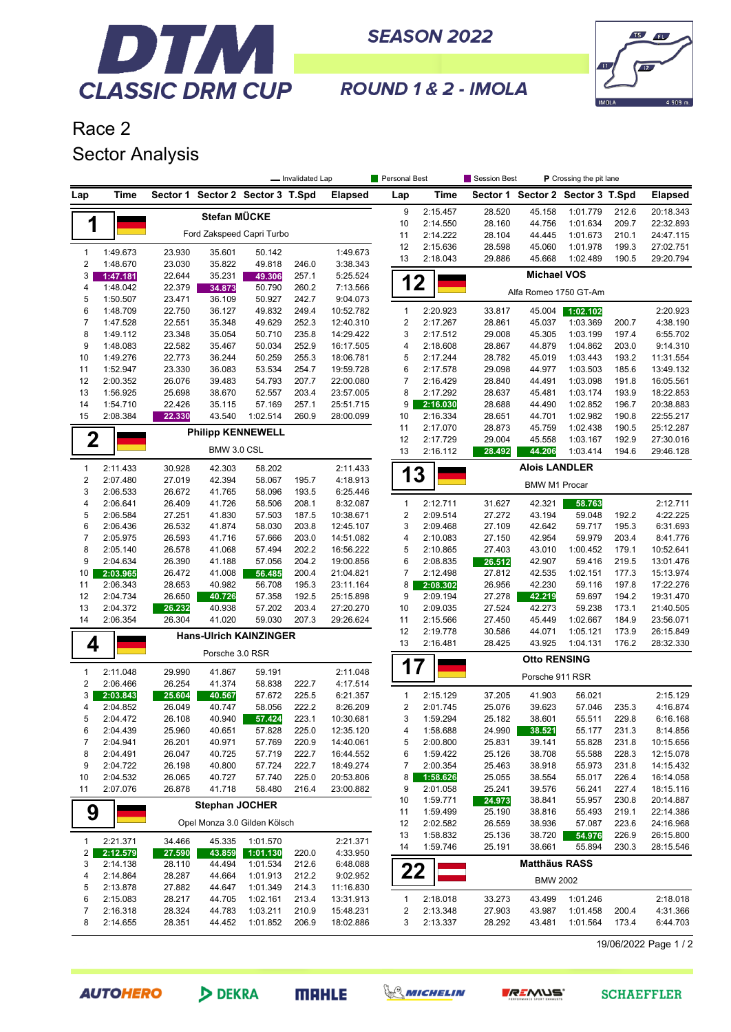

**SEASON 2022** 



ROUND 1 & 2 - IMOLA

## Race 2 Sector Analysis

|                         |                      | - Invalidated Lap |                                  |                  |                | Personal Best          |                           | Session Best         | P Crossing the pit lane |                                  |                      |                |                         |
|-------------------------|----------------------|-------------------|----------------------------------|------------------|----------------|------------------------|---------------------------|----------------------|-------------------------|----------------------------------|----------------------|----------------|-------------------------|
| Lap                     | <b>Time</b>          |                   | Sector 1 Sector 2 Sector 3 T.Spd |                  |                | <b>Elapsed</b>         | Lap                       | <b>Time</b>          |                         | Sector 1 Sector 2 Sector 3 T.Spd |                      |                | <b>Elapsed</b>          |
|                         |                      |                   | Stefan MÜCKE                     |                  |                |                        | 9                         | 2:15.457             | 28.520                  | 45.158                           | 1:01.779             | 212.6          | 20:18.343               |
| 1                       |                      |                   |                                  |                  |                |                        | 10                        | 2:14.550             | 28.160                  | 44.756                           | 1:01.634             | 209.7          | 22:32.893               |
|                         |                      |                   | Ford Zakspeed Capri Turbo        |                  |                |                        | 11                        | 2:14.222             | 28.104                  | 44.445                           | 1:01.673             | 210.1          | 24:47.115               |
| $\mathbf{1}$            | 1:49.673             | 23.930            | 35.601                           | 50.142           |                | 1:49.673               | 12<br>13                  | 2:15.636<br>2:18.043 | 28.598<br>29.886        | 45.060<br>45.668                 | 1:01.978<br>1:02.489 | 199.3<br>190.5 | 27:02.751<br>29:20.794  |
| $\overline{2}$          | 1:48.670             | 23.030            | 35.822                           | 49.818           | 246.0          | 3:38.343               |                           |                      |                         |                                  |                      |                |                         |
| 3                       | 1:47.181             | 22.644            | 35.231                           | 49.306           | 257.1          | 5:25.524               | 1                         | $\mathbf 2$          |                         | <b>Michael VOS</b>               |                      |                |                         |
| 4                       | 1:48.042             | 22.379            | 34.873                           | 50.790           | 260.2          | 7:13.566               |                           |                      |                         | Alfa Romeo 1750 GT-Am            |                      |                |                         |
| 5<br>6                  | 1:50.507<br>1:48.709 | 23.471<br>22.750  | 36.109<br>36.127                 | 50.927<br>49.832 | 242.7<br>249.4 | 9:04.073<br>10:52.782  | $\mathbf{1}$              | 2:20.923             | 33.817                  | 45.004                           | 1:02.102             |                | 2:20.923                |
| $\boldsymbol{7}$        | 1:47.528             | 22.551            | 35.348                           | 49.629           | 252.3          | 12:40.310              | 2                         | 2:17.267             | 28.861                  | 45.037                           | 1:03.369             | 200.7          | 4:38.190                |
| 8                       | 1:49.112             | 23.348            | 35.054                           | 50.710           | 235.8          | 14:29.422              | 3                         | 2:17.512             | 29.008                  | 45.305                           | 1:03.199             | 197.4          | 6:55.702                |
| 9                       | 1:48.083             | 22.582            | 35.467                           | 50.034           | 252.9          | 16:17.505              | 4                         | 2:18.608             | 28.867                  | 44.879                           | 1:04.862             | 203.0          | 9:14.310                |
| 10                      | 1:49.276             | 22.773            | 36.244                           | 50.259           | 255.3          | 18:06.781              | 5                         | 2:17.244             | 28.782                  | 45.019                           | 1:03.443             | 193.2          | 11:31.554               |
| 11                      | 1:52.947             | 23.330            | 36.083                           | 53.534           | 254.7          | 19:59.728              | 6                         | 2:17.578             | 29.098                  | 44.977                           | 1:03.503             | 185.6          | 13:49.132               |
| 12                      | 2:00.352             | 26.076            | 39.483                           | 54.793           | 207.7          | 22:00.080              | 7                         | 2:16.429             | 28.840                  | 44.491                           | 1:03.098             | 191.8          | 16:05.561               |
| 13                      | 1:56.925             | 25.698            | 38.670                           | 52.557           | 203.4          | 23:57.005              | 8                         | 2:17.292             | 28.637                  | 45.481                           | 1:03.174             | 193.9          | 18:22.853               |
| 14                      | 1:54.710             | 22.426            | 35.115                           | 57.169           | 257.1          | 25:51.715              | 9                         | 2:16.030             | 28.688                  | 44.490                           | 1:02.852<br>1:02.982 | 196.7          | 20:38.883<br>22:55.217  |
| 15                      | 2:08.384             | 22.330            | 43.540                           | 1:02.514         | 260.9          | 28:00.099              | 10<br>11                  | 2:16.334<br>2:17.070 | 28.651<br>28.873        | 44.701<br>45.759                 | 1:02.438             | 190.8<br>190.5 | 25:12.287               |
| $\mathbf 2$             |                      |                   | <b>Philipp KENNEWELL</b>         |                  |                |                        | 12                        | 2:17.729             | 29.004                  | 45.558                           | 1:03.167             | 192.9          | 27:30.016               |
|                         |                      |                   | BMW 3.0 CSL                      |                  |                |                        | 13                        | 2:16.112             | 28.492                  | 44.206                           | 1:03.414             | 194.6          | 29:46.128               |
| $\mathbf{1}$            | 2:11.433             | 30.928            | 42.303                           | 58.202           |                | 2:11.433               |                           |                      |                         | <b>Alois LANDLER</b>             |                      |                |                         |
| $\overline{\mathbf{c}}$ | 2:07.480             | 27.019            | 42.394                           | 58.067           | 195.7          | 4:18.913               | 13                        |                      |                         |                                  |                      |                |                         |
| 3                       | 2:06.533             | 26.672            | 41.765                           | 58.096           | 193.5          | 6:25.446               |                           |                      |                         | <b>BMW M1 Procar</b>             |                      |                |                         |
| 4                       | 2:06.641             | 26.409            | 41.726                           | 58.506           | 208.1          | 8:32.087               | $\mathbf{1}$              | 2:12.711             | 31.627                  | 42.321                           | 58.763               |                | 2:12.711                |
| 5                       | 2:06.584             | 27.251            | 41.830                           | 57.503           | 187.5          | 10:38.671              | $\overline{2}$            | 2:09.514             | 27.272                  | 43.194                           | 59.048               | 192.2          | 4:22.225                |
| 6                       | 2:06.436             | 26.532            | 41.874                           | 58.030           | 203.8          | 12:45.107              | 3                         | 2:09.468             | 27.109                  | 42.642                           | 59.717               | 195.3          | 6:31.693                |
| $\overline{7}$          | 2:05.975             | 26.593            | 41.716                           | 57.666           | 203.0          | 14:51.082              | 4                         | 2:10.083             | 27.150                  | 42.954                           | 59.979               | 203.4          | 8:41.776                |
| 8<br>9                  | 2:05.140<br>2:04.634 | 26.578<br>26.390  | 41.068<br>41.188                 | 57.494<br>57.056 | 202.2<br>204.2 | 16:56.222              | 5<br>6                    | 2:10.865<br>2:08.835 | 27.403                  | 43.010<br>42.907                 | 1:00.452<br>59.416   | 179.1<br>219.5 | 10:52.641<br>13:01.476  |
| 10                      | 2:03.965             | 26.472            | 41.008                           | 56.485           | 200.4          | 19:00.856<br>21:04.821 | $\overline{7}$            | 2:12.498             | 26.512<br>27.812        | 42.535                           | 1:02.151             | 177.3          | 15:13.974               |
| 11                      | 2:06.343             | 28.653            | 40.982                           | 56.708           | 195.3          | 23:11.164              | 8                         | 2:08.302             | 26.956                  | 42.230                           | 59.116               | 197.8          | 17:22.276               |
| 12                      | 2:04.734             | 26.650            | 40.726                           | 57.358           | 192.5          | 25:15.898              | 9                         | 2:09.194             | 27.278                  | 42.219                           | 59.697               | 194.2          | 19:31.470               |
| 13                      | 2:04.372             | 26.232            | 40.938                           | 57.202           | 203.4          | 27:20.270              | 10                        | 2:09.035             | 27.524                  | 42.273                           | 59.238               | 173.1          | 21:40.505               |
| 14                      | 2:06.354             | 26.304            | 41.020                           | 59.030           | 207.3          | 29:26.624              | 11                        | 2:15.566             | 27.450                  | 45.449                           | 1:02.667             | 184.9          | 23:56.071               |
|                         |                      |                   | <b>Hans-Ulrich KAINZINGER</b>    |                  |                |                        | 12                        | 2:19.778             | 30.586                  | 44.071                           | 1:05.121             | 173.9          | 26:15.849               |
| 4<br>Porsche 3.0 RSR    |                      |                   |                                  |                  |                | 13                     | 2:16.481                  | 28.425               | 43.925                  | 1:04.131                         | 176.2                | 28:32.330      |                         |
|                         |                      |                   |                                  |                  |                |                        | <b>Otto RENSING</b><br>17 |                      |                         |                                  |                      |                |                         |
| $\mathbf{1}$<br>2       | 2:11.048<br>2:06.466 | 29.990<br>26.254  | 41.867<br>41.374                 | 59.191<br>58.838 | 222.7          | 2:11.048<br>4:17.514   |                           |                      |                         | Porsche 911 RSR                  |                      |                |                         |
| 3                       | 2:03.843             | 25.604            | 40.567                           | 57.672           | 225.5          | 6:21.357               | $\mathbf{1}$              | 2:15.129             | 37.205                  | 41.903                           | 56.021               |                | 2:15.129                |
| 4                       | 2:04.852             | 26.049            | 40.747                           | 58.056           | 222.2          | 8:26.209               | $\overline{2}$            | 2:01.745             | 25.076                  | 39.623                           | 57.046               | 235.3          | 4:16.874                |
| 5                       | 2:04.472             | 26.108            | 40.940                           | 57.424           | 223.1          | 10:30.681              | 3                         | 1:59.294             | 25.182                  | 38.601                           | 55.511               | 229.8          | 6:16.168                |
| 6                       | 2:04.439             | 25.960            | 40.651                           | 57.828           | 225.0          | 12:35.120              | 4                         | 1:58.688             | 24.990                  | 38.521                           | 55.177               | 231.3          | 8:14.856                |
| 7                       | 2:04.941             | 26.201            | 40.971                           | 57.769           | 220.9          | 14:40.061              | 5                         | 2:00.800             | 25.831                  | 39.141                           | 55.828               | 231.8          | 10:15.656               |
| 8                       | 2:04.491             | 26.047            | 40.725                           | 57.719           | 222.7          | 16:44.552              | 6                         | 1:59.422             | 25.126                  | 38.708                           | 55.588               | 228.3          | 12:15.078               |
| 9                       | 2:04.722             | 26.198            | 40.800                           | 57.724           | 222.7          | 18:49.274              | 7                         | 2:00.354             | 25.463                  | 38.918                           | 55.973               | 231.8          | 14:15.432               |
| 10<br>11                | 2:04.532<br>2:07.076 | 26.065<br>26.878  | 40.727<br>41.718                 | 57.740<br>58.480 | 225.0<br>216.4 | 20:53.806<br>23:00.882 | 8                         | 1:58.626             | 25.055<br>25.241        | 38.554<br>39.576                 | 55.017               | 226.4<br>227.4 | 16:14.058<br>18:15.116  |
|                         |                      |                   |                                  |                  |                |                        | 9<br>10                   | 2:01.058<br>1:59.771 | 24.973                  | 38.841                           | 56.241<br>55.957     | 230.8          | 20:14.887               |
| 9                       |                      |                   | <b>Stephan JOCHER</b>            |                  |                |                        | 11                        | 1:59.499             | 25.190                  | 38.816                           | 55.493               | 219.1          | 22:14.386               |
|                         |                      |                   | Opel Monza 3.0 Gilden Kölsch     |                  |                |                        | 12                        | 2:02.582             | 26.559                  | 38.936                           | 57.087               | 223.6          | 24:16.968               |
|                         | 2:21.371             |                   |                                  | 1:01.570         |                | 2:21.371               | 13                        | 1:58.832             | 25.136                  | 38.720                           | 54.976               | 226.9          | 26:15.800               |
| 1<br>2                  | 2:12.579             | 34.466<br>27.590  | 45.335<br>43.859                 | 1:01.130         | 220.0          | 4:33.950               | 14                        | 1:59.746             | 25.191                  | 38.661                           | 55.894               | 230.3          | 28:15.546               |
| 3                       | 2:14.138             | 28.110            | 44.494                           | 1:01.534         | 212.6          | 6:48.088               |                           |                      |                         | <b>Matthäus RASS</b>             |                      |                |                         |
| 4                       | 2:14.864             | 28.287            | 44.664                           | 1:01.913         | 212.2          | 9:02.952               | 22                        |                      |                         | <b>BMW 2002</b>                  |                      |                |                         |
| 5                       | 2:13.878             | 27.882            | 44.647                           | 1:01.349         | 214.3          | 11:16.830              |                           |                      |                         |                                  |                      |                |                         |
| 6                       | 2:15.083             | 28.217            | 44.705                           | 1:02.161         | 213.4          | 13:31.913              | $\mathbf{1}$              | 2:18.018             | 33.273                  | 43.499                           | 1:01.246             |                | 2:18.018                |
| 7                       | 2:16.318             | 28.324            | 44.783                           | 1:03.211         | 210.9          | 15:48.231              | 2                         | 2:13.348             | 27.903                  | 43.987                           | 1:01.458             | 200.4          | 4:31.366                |
| 8                       | 2:14.655             | 28.351            | 44.452                           | 1:01.852         | 206.9          | 18:02.886              | 3                         | 2:13.337             | 28.292                  | 43.481                           | 1:01.564             | 173.4          | 6:44.703                |
|                         |                      |                   |                                  |                  |                |                        |                           |                      |                         |                                  |                      |                | $10/06/2022$ Page $1/2$ |

MICHELIN

*REM*US'

DEKRA

**AUTOHERO** 

**MRHLE** 

19/06/2022 Page 1 / 2

**SCHAEFFLER**